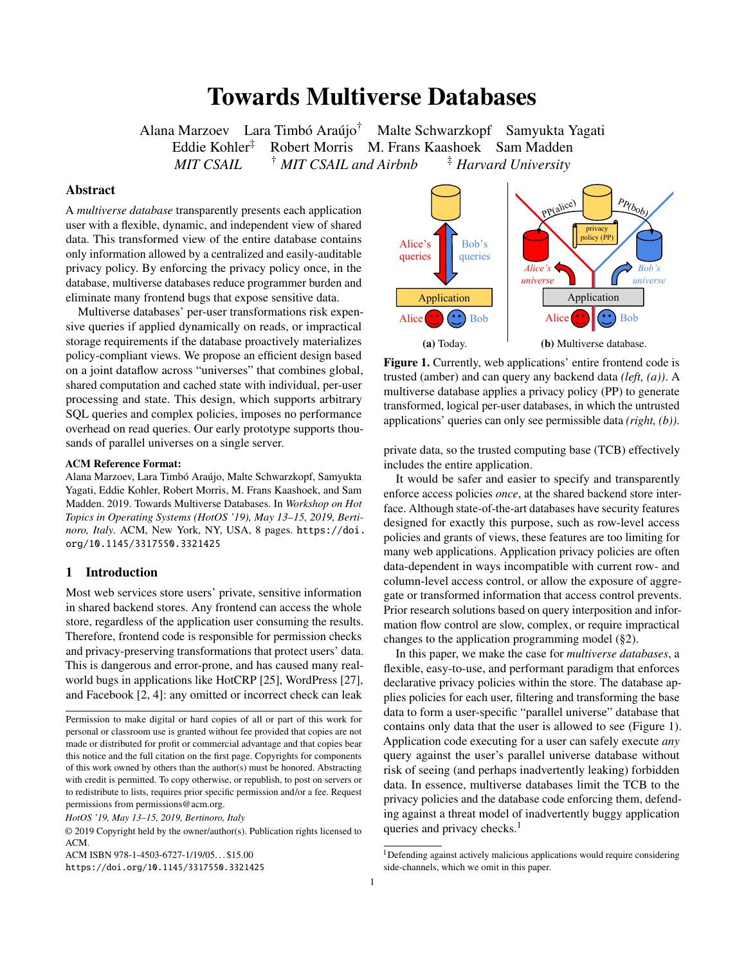# Towards Multiverse Databases

Alana Marzoev Lara Timbó Araújo† Malte Schwarzkopf Samyukta Yagati Eddie Kohler‡ Robert Morris M. Frans Kaashoek Sam Madden *MIT CSAIL* † *MIT CSAIL and Airbnb* ‡ *Harvard University*

# Abstract

A *multiverse database* transparently presents each application user with a flexible, dynamic, and independent view of shared data. This transformed view of the entire database contains only information allowed by a centralized and easily-auditable privacy policy. By enforcing the privacy policy once, in the database, multiverse databases reduce programmer burden and eliminate many frontend bugs that expose sensitive data.

Multiverse databases' per-user transformations risk expensive queries if applied dynamically on reads, or impractical storage requirements if the database proactively materializes policy-compliant views. We propose an efficient design based on a joint dataflow across "universes" that combines global, shared computation and cached state with individual, per-user processing and state. This design, which supports arbitrary SQL queries and complex policies, imposes no performance overhead on read queries. Our early prototype supports thousands of parallel universes on a single server.

#### ACM Reference Format:

Alana Marzoev, Lara Timbó Araújo, Malte Schwarzkopf, Samyukta Yagati, Eddie Kohler, Robert Morris, M. Frans Kaashoek, and Sam Madden. 2019. Towards Multiverse Databases. In *Workshop on Hot Topics in Operating Systems (HotOS '19), May 13–15, 2019, Bertinoro, Italy.* ACM, New York, NY, USA, [8](#page-7-0) pages. [https://doi.](https://doi.org/10.1145/3317550.3321425) [org/10.1145/3317550.3321425](https://doi.org/10.1145/3317550.3321425)

## <span id="page-0-2"></span>1 Introduction

Most web services store users' private, sensitive information in shared backend stores. Any frontend can access the whole store, regardless of the application user consuming the results. Therefore, frontend code is responsible for permission checks and privacy-preserving transformations that protect users' data. This is dangerous and error-prone, and has caused many realworld bugs in applications like HotCRP [\[25\]](#page-7-1), WordPress [\[27\]](#page-7-2), and Facebook [\[2,](#page-6-0) [4\]](#page-6-1): any omitted or incorrect check can leak

*HotOS '19, May 13–15, 2019, Bertinoro, Italy*

<https://doi.org/10.1145/3317550.3321425>

<span id="page-0-0"></span>

Figure 1. Currently, web applications' entire frontend code is trusted (amber) and can query any backend data *(left, [\(a\)](#page-0-0))*. A multiverse database applies a privacy policy (PP) to generate transformed, logical per-user databases, in which the untrusted applications' queries can only see permissible data *(right, [\(b\)](#page-0-0))*.

private data, so the trusted computing base (TCB) effectively includes the entire application.

It would be safer and easier to specify and transparently enforce access policies *once*, at the shared backend store interface. Although state-of-the-art databases have security features designed for exactly this purpose, such as row-level access policies and grants of views, these features are too limiting for many web applications. Application privacy policies are often data-dependent in ways incompatible with current row- and column-level access control, or allow the exposure of aggregate or transformed information that access control prevents. Prior research solutions based on query interposition and information flow control are slow, complex, or require impractical changes to the application programming model ([§2\)](#page-1-0).

In this paper, we make the case for *multiverse databases*, a flexible, easy-to-use, and performant paradigm that enforces declarative privacy policies within the store. The database applies policies for each user, filtering and transforming the base data to form a user-specific "parallel universe" database that contains only data that the user is allowed to see (Figure [1\)](#page-0-0). Application code executing for a user can safely execute *any* query against the user's parallel universe database without risk of seeing (and perhaps inadvertently leaking) forbidden data. In essence, multiverse databases limit the TCB to the privacy policies and the database code enforcing them, defending against a threat model of inadvertently buggy application queries and privacy checks.<sup>[1](#page-0-1)</sup>

Permission to make digital or hard copies of all or part of this work for personal or classroom use is granted without fee provided that copies are not made or distributed for profit or commercial advantage and that copies bear this notice and the full citation on the first page. Copyrights for components of this work owned by others than the author(s) must be honored. Abstracting with credit is permitted. To copy otherwise, or republish, to post on servers or to redistribute to lists, requires prior specific permission and/or a fee. Request permissions from permissions@acm.org.

<sup>©</sup> 2019 Copyright held by the owner/author(s). Publication rights licensed to ACM.

ACM ISBN 978-1-4503-6727-1/19/05. . . \$15.00

<span id="page-0-1"></span><sup>&</sup>lt;sup>1</sup>Defending against actively malicious applications would require considering side-channels, which we omit in this paper.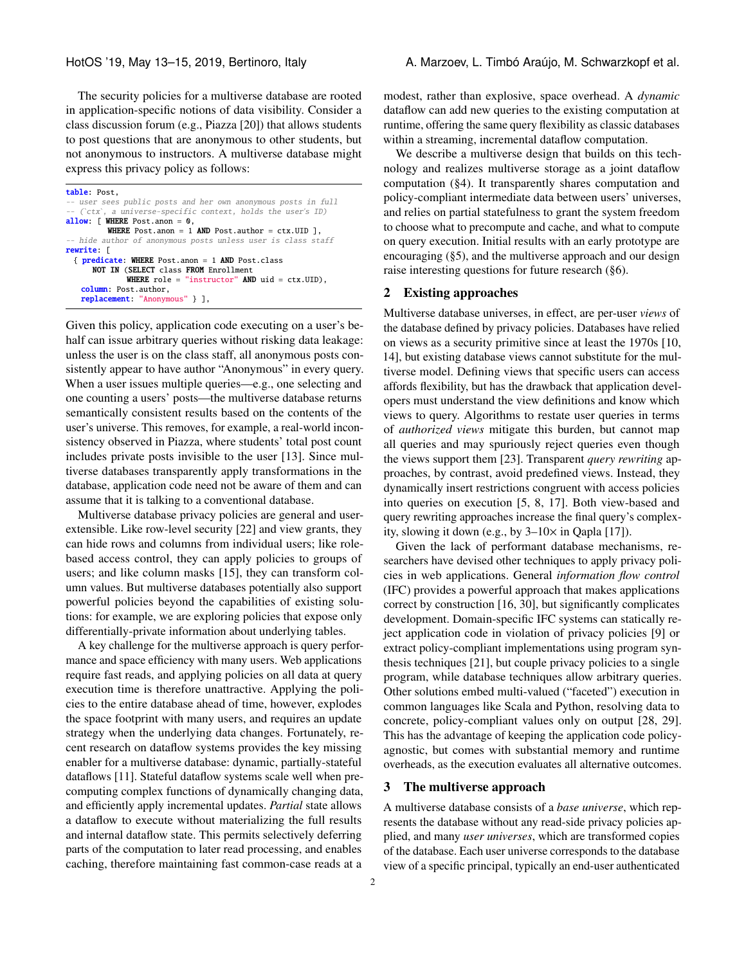The security policies for a multiverse database are rooted in application-specific notions of data visibility. Consider a class discussion forum (e.g., Piazza [\[20\]](#page-6-2)) that allows students to post questions that are anonymous to other students, but not anonymous to instructors. A multiverse database might express this privacy policy as follows:

```
table: Post,
-- user sees public posts and her own anonymous posts in full
   (`ctx`, a universe-specific context, holds the user's ID)
allow: [ WHERE Post.anon = 0,
         WHERE Post.anon = 1 AND Post.author = ctx.UID],
-- hide author of anonymous posts unless user is class staff
rewrite: [
 { predicate: WHERE Post.anon = 1 AND Post.class
     NOT IN (SELECT class FROM Enrollment
             WHERE role = "instructor" AND uid = ctx.UID),
   column: Post.author,
   replacement: "Anonymous" } ],
```
Given this policy, application code executing on a user's behalf can issue arbitrary queries without risking data leakage: unless the user is on the class staff, all anonymous posts consistently appear to have author "Anonymous" in every query. When a user issues multiple queries—e.g., one selecting and one counting a users' posts—the multiverse database returns semantically consistent results based on the contents of the user's universe. This removes, for example, a real-world inconsistency observed in Piazza, where students' total post count includes private posts invisible to the user [\[13\]](#page-6-3). Since multiverse databases transparently apply transformations in the database, application code need not be aware of them and can assume that it is talking to a conventional database.

Multiverse database privacy policies are general and userextensible. Like row-level security [\[22\]](#page-7-3) and view grants, they can hide rows and columns from individual users; like rolebased access control, they can apply policies to groups of users; and like column masks [\[15\]](#page-6-4), they can transform column values. But multiverse databases potentially also support powerful policies beyond the capabilities of existing solutions: for example, we are exploring policies that expose only differentially-private information about underlying tables.

A key challenge for the multiverse approach is query performance and space efficiency with many users. Web applications require fast reads, and applying policies on all data at query execution time is therefore unattractive. Applying the policies to the entire database ahead of time, however, explodes the space footprint with many users, and requires an update strategy when the underlying data changes. Fortunately, recent research on dataflow systems provides the key missing enabler for a multiverse database: dynamic, partially-stateful dataflows [\[11\]](#page-6-5). Stateful dataflow systems scale well when precomputing complex functions of dynamically changing data, and efficiently apply incremental updates. *Partial* state allows a dataflow to execute without materializing the full results and internal dataflow state. This permits selectively deferring parts of the computation to later read processing, and enables caching, therefore maintaining fast common-case reads at a

modest, rather than explosive, space overhead. A *dynamic* dataflow can add new queries to the existing computation at runtime, offering the same query flexibility as classic databases within a streaming, incremental dataflow computation.

We describe a multiverse design that builds on this technology and realizes multiverse storage as a joint dataflow computation ([§4\)](#page-2-0). It transparently shares computation and policy-compliant intermediate data between users' universes, and relies on partial statefulness to grant the system freedom to choose what to precompute and cache, and what to compute on query execution. Initial results with an early prototype are encouraging ([§5\)](#page-4-0), and the multiverse approach and our design raise interesting questions for future research ([§6\)](#page-4-1).

## <span id="page-1-0"></span>2 Existing approaches

Multiverse database universes, in effect, are per-user *views* of the database defined by privacy policies. Databases have relied on views as a security primitive since at least the 1970s [\[10,](#page-6-6) [14\]](#page-6-7), but existing database views cannot substitute for the multiverse model. Defining views that specific users can access affords flexibility, but has the drawback that application developers must understand the view definitions and know which views to query. Algorithms to restate user queries in terms of *authorized views* mitigate this burden, but cannot map all queries and may spuriously reject queries even though the views support them [\[23\]](#page-7-4). Transparent *query rewriting* approaches, by contrast, avoid predefined views. Instead, they dynamically insert restrictions congruent with access policies into queries on execution [\[5,](#page-6-8) [8,](#page-6-9) [17\]](#page-6-10). Both view-based and query rewriting approaches increase the final query's complexity, slowing it down (e.g., by  $3-10\times$  in Qapla [\[17\]](#page-6-10)).

Given the lack of performant database mechanisms, researchers have devised other techniques to apply privacy policies in web applications. General *information flow control* (IFC) provides a powerful approach that makes applications correct by construction [\[16,](#page-6-11) [30\]](#page-7-5), but significantly complicates development. Domain-specific IFC systems can statically reject application code in violation of privacy policies [\[9\]](#page-6-12) or extract policy-compliant implementations using program synthesis techniques [\[21\]](#page-6-13), but couple privacy policies to a single program, while database techniques allow arbitrary queries. Other solutions embed multi-valued ("faceted") execution in common languages like Scala and Python, resolving data to concrete, policy-compliant values only on output [\[28,](#page-7-6) [29\]](#page-7-7). This has the advantage of keeping the application code policyagnostic, but comes with substantial memory and runtime overheads, as the execution evaluates all alternative outcomes.

## 3 The multiverse approach

A multiverse database consists of a *base universe*, which represents the database without any read-side privacy policies applied, and many *user universes*, which are transformed copies of the database. Each user universe corresponds to the database view of a specific principal, typically an end-user authenticated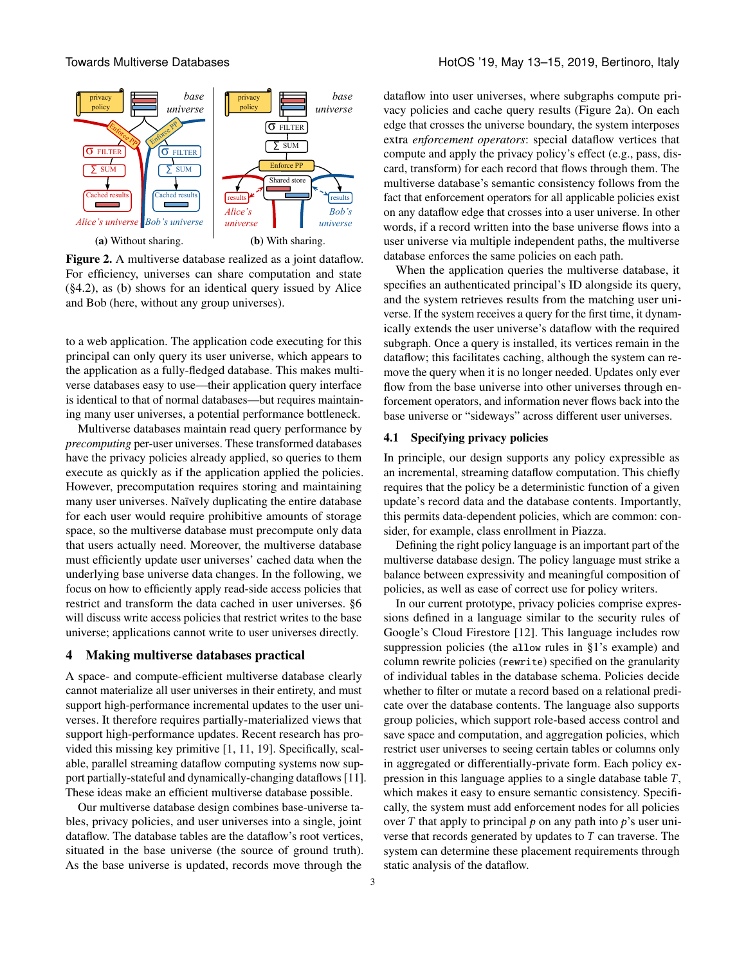<span id="page-2-2"></span>

Figure 2. A multiverse database realized as a joint dataflow. For efficiency, universes can share computation and state ([§4.2\)](#page-2-1), as [\(b\)](#page-2-2) shows for an identical query issued by Alice and Bob (here, without any group universes).

to a web application. The application code executing for this principal can only query its user universe, which appears to the application as a fully-fledged database. This makes multiverse databases easy to use—their application query interface is identical to that of normal databases—but requires maintaining many user universes, a potential performance bottleneck.

Multiverse databases maintain read query performance by *precomputing* per-user universes. These transformed databases have the privacy policies already applied, so queries to them execute as quickly as if the application applied the policies. However, precomputation requires storing and maintaining many user universes. Naïvely duplicating the entire database for each user would require prohibitive amounts of storage space, so the multiverse database must precompute only data that users actually need. Moreover, the multiverse database must efficiently update user universes' cached data when the underlying base universe data changes. In the following, we focus on how to efficiently apply read-side access policies that restrict and transform the data cached in user universes. [§6](#page-4-1) will discuss write access policies that restrict writes to the base universe; applications cannot write to user universes directly.

## <span id="page-2-0"></span>4 Making multiverse databases practical

A space- and compute-efficient multiverse database clearly cannot materialize all user universes in their entirety, and must support high-performance incremental updates to the user universes. It therefore requires partially-materialized views that support high-performance updates. Recent research has provided this missing key primitive [\[1,](#page-6-14) [11,](#page-6-5) [19\]](#page-6-15). Specifically, scalable, parallel streaming dataflow computing systems now support partially-stateful and dynamically-changing dataflows [\[11\]](#page-6-5). These ideas make an efficient multiverse database possible.

Our multiverse database design combines base-universe tables, privacy policies, and user universes into a single, joint dataflow. The database tables are the dataflow's root vertices, situated in the base universe (the source of ground truth). As the base universe is updated, records move through the

dataflow into user universes, where subgraphs compute privacy policies and cache query results (Figure [2a\)](#page-2-2). On each edge that crosses the universe boundary, the system interposes extra *enforcement operators*: special dataflow vertices that compute and apply the privacy policy's effect (e.g., pass, discard, transform) for each record that flows through them. The multiverse database's semantic consistency follows from the fact that enforcement operators for all applicable policies exist on any dataflow edge that crosses into a user universe. In other words, if a record written into the base universe flows into a user universe via multiple independent paths, the multiverse database enforces the same policies on each path.

When the application queries the multiverse database, it specifies an authenticated principal's ID alongside its query, and the system retrieves results from the matching user universe. If the system receives a query for the first time, it dynamically extends the user universe's dataflow with the required subgraph. Once a query is installed, its vertices remain in the dataflow; this facilitates caching, although the system can remove the query when it is no longer needed. Updates only ever flow from the base universe into other universes through enforcement operators, and information never flows back into the base universe or "sideways" across different user universes.

## 4.1 Specifying privacy policies

In principle, our design supports any policy expressible as an incremental, streaming dataflow computation. This chiefly requires that the policy be a deterministic function of a given update's record data and the database contents. Importantly, this permits data-dependent policies, which are common: consider, for example, class enrollment in Piazza.

Defining the right policy language is an important part of the multiverse database design. The policy language must strike a balance between expressivity and meaningful composition of policies, as well as ease of correct use for policy writers.

<span id="page-2-1"></span>In our current prototype, privacy policies comprise expressions defined in a language similar to the security rules of Google's Cloud Firestore [\[12\]](#page-6-16). This language includes row suppression policies (the allow rules in [§1'](#page-0-2)s example) and column rewrite policies (rewrite) specified on the granularity of individual tables in the database schema. Policies decide whether to filter or mutate a record based on a relational predicate over the database contents. The language also supports group policies, which support role-based access control and save space and computation, and aggregation policies, which restrict user universes to seeing certain tables or columns only in aggregated or differentially-private form. Each policy expression in this language applies to a single database table  $T$ , which makes it easy to ensure semantic consistency. Specifically, the system must add enforcement nodes for all policies over T that apply to principal  $p$  on any path into  $p$ 's user universe that records generated by updates to T can traverse. The system can determine these placement requirements through static analysis of the dataflow.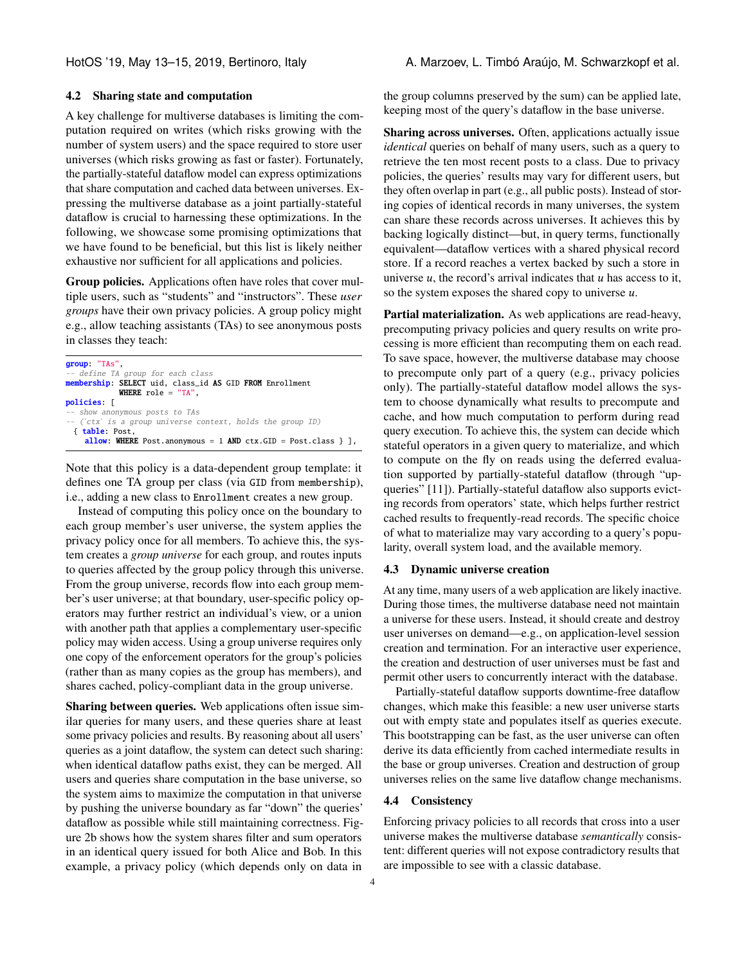#### 4.2 Sharing state and computation

A key challenge for multiverse databases is limiting the computation required on writes (which risks growing with the number of system users) and the space required to store user universes (which risks growing as fast or faster). Fortunately, the partially-stateful dataflow model can express optimizations that share computation and cached data between universes. Expressing the multiverse database as a joint partially-stateful dataflow is crucial to harnessing these optimizations. In the following, we showcase some promising optimizations that we have found to be beneficial, but this list is likely neither exhaustive nor sufficient for all applications and policies.

Group policies. Applications often have roles that cover multiple users, such as "students" and "instructors". These *user groups* have their own privacy policies. A group policy might e.g., allow teaching assistants (TAs) to see anonymous posts in classes they teach:

```
group: "TAs",
  define TA group for each class
membership: SELECT uid, class_id AS GID FROM Enrollment
            WHERE role = "TA",
policies: [
  show anonymous posts to TAs
 -- (`ctx` is a group universe context, holds the group ID)
 { table: Post,
    allow: WHERE Post.anonymous = 1 AND ctx.GID = Post.class \} ],
```
Note that this policy is a data-dependent group template: it defines one TA group per class (via GID from membership), i.e., adding a new class to Enrollment creates a new group.

Instead of computing this policy once on the boundary to each group member's user universe, the system applies the privacy policy once for all members. To achieve this, the system creates a *group universe* for each group, and routes inputs to queries affected by the group policy through this universe. From the group universe, records flow into each group member's user universe; at that boundary, user-specific policy operators may further restrict an individual's view, or a union with another path that applies a complementary user-specific policy may widen access. Using a group universe requires only one copy of the enforcement operators for the group's policies (rather than as many copies as the group has members), and shares cached, policy-compliant data in the group universe.

Sharing between queries. Web applications often issue similar queries for many users, and these queries share at least some privacy policies and results. By reasoning about all users' queries as a joint dataflow, the system can detect such sharing: when identical dataflow paths exist, they can be merged. All users and queries share computation in the base universe, so the system aims to maximize the computation in that universe by pushing the universe boundary as far "down" the queries' dataflow as possible while still maintaining correctness. Figure [2b](#page-2-2) shows how the system shares filter and sum operators in an identical query issued for both Alice and Bob. In this example, a privacy policy (which depends only on data in

the group columns preserved by the sum) can be applied late, keeping most of the query's dataflow in the base universe.

Sharing across universes. Often, applications actually issue *identical* queries on behalf of many users, such as a query to retrieve the ten most recent posts to a class. Due to privacy policies, the queries' results may vary for different users, but they often overlap in part (e.g., all public posts). Instead of storing copies of identical records in many universes, the system can share these records across universes. It achieves this by backing logically distinct—but, in query terms, functionally equivalent—dataflow vertices with a shared physical record store. If a record reaches a vertex backed by such a store in universe  $u$ , the record's arrival indicates that  $u$  has access to it, so the system exposes the shared copy to universe  $u$ .

Partial materialization. As web applications are read-heavy, precomputing privacy policies and query results on write processing is more efficient than recomputing them on each read. To save space, however, the multiverse database may choose to precompute only part of a query (e.g., privacy policies only). The partially-stateful dataflow model allows the system to choose dynamically what results to precompute and cache, and how much computation to perform during read query execution. To achieve this, the system can decide which stateful operators in a given query to materialize, and which to compute on the fly on reads using the deferred evaluation supported by partially-stateful dataflow (through "upqueries" [\[11\]](#page-6-5)). Partially-stateful dataflow also supports evicting records from operators' state, which helps further restrict cached results to frequently-read records. The specific choice of what to materialize may vary according to a query's popularity, overall system load, and the available memory.

## 4.3 Dynamic universe creation

At any time, many users of a web application are likely inactive. During those times, the multiverse database need not maintain a universe for these users. Instead, it should create and destroy user universes on demand—e.g., on application-level session creation and termination. For an interactive user experience, the creation and destruction of user universes must be fast and permit other users to concurrently interact with the database.

Partially-stateful dataflow supports downtime-free dataflow changes, which make this feasible: a new user universe starts out with empty state and populates itself as queries execute. This bootstrapping can be fast, as the user universe can often derive its data efficiently from cached intermediate results in the base or group universes. Creation and destruction of group universes relies on the same live dataflow change mechanisms.

# 4.4 Consistency

Enforcing privacy policies to all records that cross into a user universe makes the multiverse database *semantically* consistent: different queries will not expose contradictory results that are impossible to see with a classic database.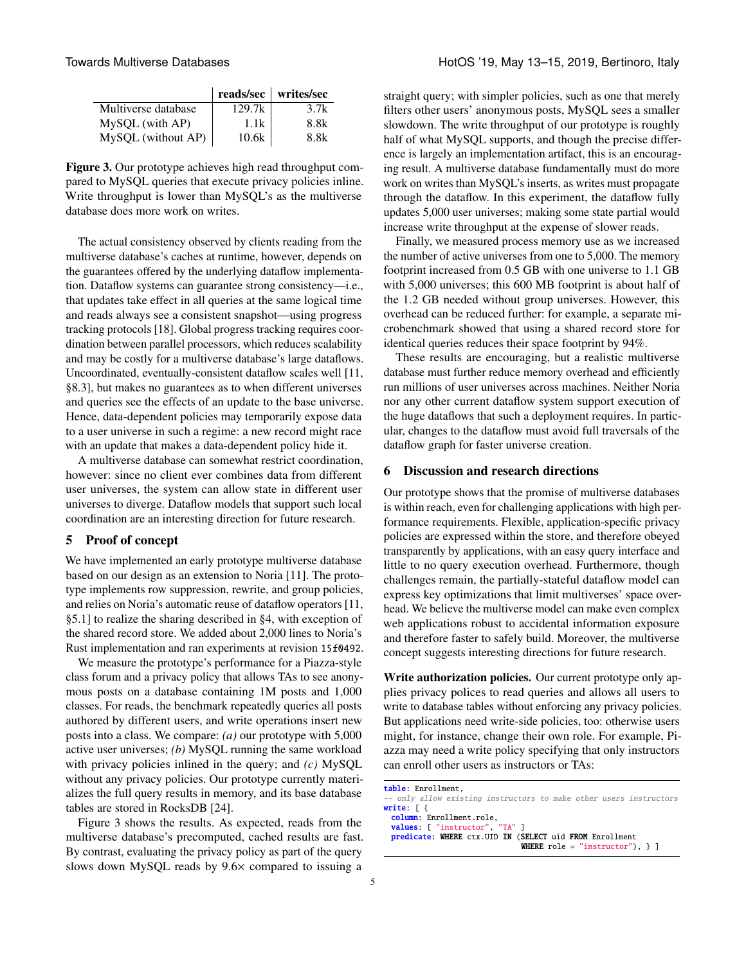<span id="page-4-2"></span>

|                     |        | reads/sec   writes/sec |
|---------------------|--------|------------------------|
| Multiverse database | 129.7k | 3.7k                   |
| MySQL (with AP)     | 1.1k   | 8.8k                   |
| MySQL (without AP)  | 10.6k  | 8.8k                   |

Figure 3. Our prototype achieves high read throughput compared to MySQL queries that execute privacy policies inline. Write throughput is lower than MySQL's as the multiverse database does more work on writes.

The actual consistency observed by clients reading from the multiverse database's caches at runtime, however, depends on the guarantees offered by the underlying dataflow implementation. Dataflow systems can guarantee strong consistency—i.e., that updates take effect in all queries at the same logical time and reads always see a consistent snapshot—using progress tracking protocols [\[18\]](#page-6-17). Global progress tracking requires coordination between parallel processors, which reduces scalability and may be costly for a multiverse database's large dataflows. Uncoordinated, eventually-consistent dataflow scales well [\[11,](#page-6-5) §8.3], but makes no guarantees as to when different universes and queries see the effects of an update to the base universe. Hence, data-dependent policies may temporarily expose data to a user universe in such a regime: a new record might race with an update that makes a data-dependent policy hide it.

A multiverse database can somewhat restrict coordination, however: since no client ever combines data from different user universes, the system can allow state in different user universes to diverge. Dataflow models that support such local coordination are an interesting direction for future research.

## <span id="page-4-0"></span>5 Proof of concept

We have implemented an early prototype multiverse database based on our design as an extension to Noria [\[11\]](#page-6-5). The prototype implements row suppression, rewrite, and group policies, and relies on Noria's automatic reuse of dataflow operators [\[11,](#page-6-5) §5.1] to realize the sharing described in [§4,](#page-2-0) with exception of the shared record store. We added about 2,000 lines to Noria's Rust implementation and ran experiments at revision 15f0492.

We measure the prototype's performance for a Piazza-style class forum and a privacy policy that allows TAs to see anonymous posts on a database containing 1M posts and 1,000 classes. For reads, the benchmark repeatedly queries all posts authored by different users, and write operations insert new posts into a class. We compare: *(a)* our prototype with 5,000 active user universes; *(b)* MySQL running the same workload with privacy policies inlined in the query; and *(c)* MySQL without any privacy policies. Our prototype currently materializes the full query results in memory, and its base database tables are stored in RocksDB [\[24\]](#page-7-8).

Figure [3](#page-4-2) shows the results. As expected, reads from the multiverse database's precomputed, cached results are fast. By contrast, evaluating the privacy policy as part of the query slows down MySQL reads by 9.6× compared to issuing a

straight query; with simpler policies, such as one that merely filters other users' anonymous posts, MySQL sees a smaller slowdown. The write throughput of our prototype is roughly half of what MySQL supports, and though the precise difference is largely an implementation artifact, this is an encouraging result. A multiverse database fundamentally must do more work on writes than MySQL's inserts, as writes must propagate through the dataflow. In this experiment, the dataflow fully updates 5,000 user universes; making some state partial would increase write throughput at the expense of slower reads.

Finally, we measured process memory use as we increased the number of active universes from one to 5,000. The memory footprint increased from 0.5 GB with one universe to 1.1 GB with 5,000 universes; this 600 MB footprint is about half of the 1.2 GB needed without group universes. However, this overhead can be reduced further: for example, a separate microbenchmark showed that using a shared record store for identical queries reduces their space footprint by 94%.

These results are encouraging, but a realistic multiverse database must further reduce memory overhead and efficiently run millions of user universes across machines. Neither Noria nor any other current dataflow system support execution of the huge dataflows that such a deployment requires. In particular, changes to the dataflow must avoid full traversals of the dataflow graph for faster universe creation.

## <span id="page-4-1"></span>6 Discussion and research directions

Our prototype shows that the promise of multiverse databases is within reach, even for challenging applications with high performance requirements. Flexible, application-specific privacy policies are expressed within the store, and therefore obeyed transparently by applications, with an easy query interface and little to no query execution overhead. Furthermore, though challenges remain, the partially-stateful dataflow model can express key optimizations that limit multiverses' space overhead. We believe the multiverse model can make even complex web applications robust to accidental information exposure and therefore faster to safely build. Moreover, the multiverse concept suggests interesting directions for future research.

Write authorization policies. Our current prototype only applies privacy polices to read queries and allows all users to write to database tables without enforcing any privacy policies. But applications need write-side policies, too: otherwise users might, for instance, change their own role. For example, Piazza may need a write policy specifying that only instructors can enroll other users as instructors or TAs:

table: Enrollment, only allow existing instructors to make other users instructors write: [ { column: Enrollment.role, values: [ "instructor", "TA" ] predicate: WHERE ctx.UID IN (SELECT uid FROM Enrollment WHERE role = "instructor"),  $\}$  ]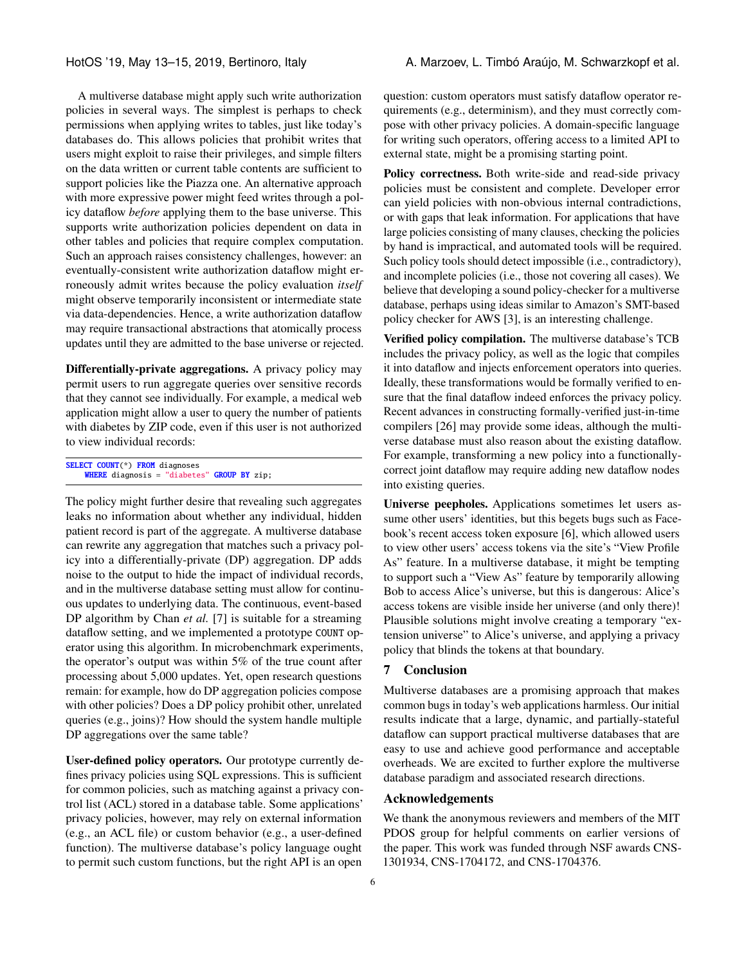A multiverse database might apply such write authorization policies in several ways. The simplest is perhaps to check permissions when applying writes to tables, just like today's databases do. This allows policies that prohibit writes that users might exploit to raise their privileges, and simple filters on the data written or current table contents are sufficient to support policies like the Piazza one. An alternative approach with more expressive power might feed writes through a policy dataflow *before* applying them to the base universe. This supports write authorization policies dependent on data in other tables and policies that require complex computation. Such an approach raises consistency challenges, however: an eventually-consistent write authorization dataflow might erroneously admit writes because the policy evaluation *itself* might observe temporarily inconsistent or intermediate state via data-dependencies. Hence, a write authorization dataflow may require transactional abstractions that atomically process updates until they are admitted to the base universe or rejected.

Differentially-private aggregations. A privacy policy may permit users to run aggregate queries over sensitive records that they cannot see individually. For example, a medical web application might allow a user to query the number of patients with diabetes by ZIP code, even if this user is not authorized to view individual records:

SELECT COUNT(\*) FROM diagnoses WHERE diagnosis = "diabetes" GROUP BY zip;

The policy might further desire that revealing such aggregates leaks no information about whether any individual, hidden patient record is part of the aggregate. A multiverse database can rewrite any aggregation that matches such a privacy policy into a differentially-private (DP) aggregation. DP adds noise to the output to hide the impact of individual records, and in the multiverse database setting must allow for continuous updates to underlying data. The continuous, event-based DP algorithm by Chan *et al.* [\[7\]](#page-6-18) is suitable for a streaming dataflow setting, and we implemented a prototype COUNT operator using this algorithm. In microbenchmark experiments, the operator's output was within 5% of the true count after processing about 5,000 updates. Yet, open research questions remain: for example, how do DP aggregation policies compose with other policies? Does a DP policy prohibit other, unrelated queries (e.g., joins)? How should the system handle multiple DP aggregations over the same table?

User-defined policy operators. Our prototype currently defines privacy policies using SQL expressions. This is sufficient for common policies, such as matching against a privacy control list (ACL) stored in a database table. Some applications' privacy policies, however, may rely on external information (e.g., an ACL file) or custom behavior (e.g., a user-defined function). The multiverse database's policy language ought to permit such custom functions, but the right API is an open

question: custom operators must satisfy dataflow operator requirements (e.g., determinism), and they must correctly compose with other privacy policies. A domain-specific language for writing such operators, offering access to a limited API to external state, might be a promising starting point.

Policy correctness. Both write-side and read-side privacy policies must be consistent and complete. Developer error can yield policies with non-obvious internal contradictions, or with gaps that leak information. For applications that have large policies consisting of many clauses, checking the policies by hand is impractical, and automated tools will be required. Such policy tools should detect impossible (i.e., contradictory), and incomplete policies (i.e., those not covering all cases). We believe that developing a sound policy-checker for a multiverse database, perhaps using ideas similar to Amazon's SMT-based policy checker for AWS [\[3\]](#page-6-19), is an interesting challenge.

Verified policy compilation. The multiverse database's TCB includes the privacy policy, as well as the logic that compiles it into dataflow and injects enforcement operators into queries. Ideally, these transformations would be formally verified to ensure that the final dataflow indeed enforces the privacy policy. Recent advances in constructing formally-verified just-in-time compilers [\[26\]](#page-7-9) may provide some ideas, although the multiverse database must also reason about the existing dataflow. For example, transforming a new policy into a functionallycorrect joint dataflow may require adding new dataflow nodes into existing queries.

Universe peepholes. Applications sometimes let users assume other users' identities, but this begets bugs such as Facebook's recent access token exposure [\[6\]](#page-6-20), which allowed users to view other users' access tokens via the site's "View Profile As" feature. In a multiverse database, it might be tempting to support such a "View As" feature by temporarily allowing Bob to access Alice's universe, but this is dangerous: Alice's access tokens are visible inside her universe (and only there)! Plausible solutions might involve creating a temporary "extension universe" to Alice's universe, and applying a privacy policy that blinds the tokens at that boundary.

# 7 Conclusion

Multiverse databases are a promising approach that makes common bugs in today's web applications harmless. Our initial results indicate that a large, dynamic, and partially-stateful dataflow can support practical multiverse databases that are easy to use and achieve good performance and acceptable overheads. We are excited to further explore the multiverse database paradigm and associated research directions.

## Acknowledgements

We thank the anonymous reviewers and members of the MIT PDOS group for helpful comments on earlier versions of the paper. This work was funded through NSF awards CNS-1301934, CNS-1704172, and CNS-1704376.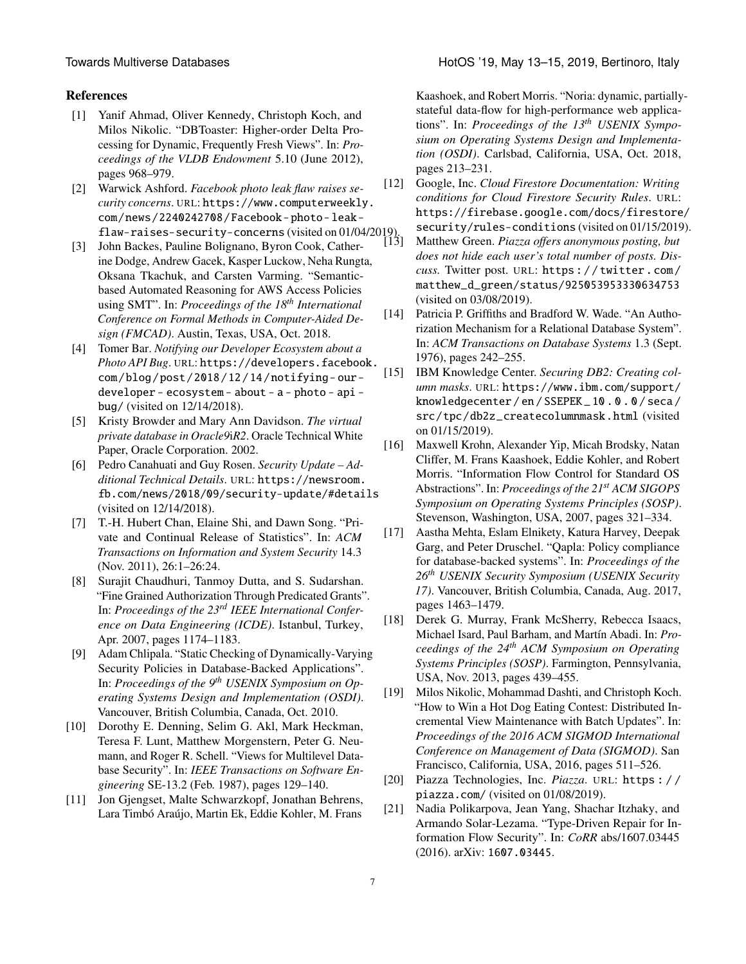#### References

- <span id="page-6-14"></span>[1] Yanif Ahmad, Oliver Kennedy, Christoph Koch, and Milos Nikolic. "DBToaster: Higher-order Delta Processing for Dynamic, Frequently Fresh Views". In: *Proceedings of the VLDB Endowment* 5.10 (June 2012), pages 968–979.
- <span id="page-6-0"></span>[2] Warwick Ashford. *Facebook photo leak flaw raises security concerns*. URL: [https://www.computerweekly](https://www.computerweekly.com/news/2240242708/Facebook-photo-leak-flaw-raises-security-concerns). [com/news/2240242708/Facebook- photo- leak](https://www.computerweekly.com/news/2240242708/Facebook-photo-leak-flaw-raises-security-concerns)[flaw-raises-security-concerns](https://www.computerweekly.com/news/2240242708/Facebook-photo-leak-flaw-raises-security-concerns) (visited on 01/04/2019).
- <span id="page-6-19"></span>[3] John Backes, Pauline Bolignano, Byron Cook, Catherine Dodge, Andrew Gacek, Kasper Luckow, Neha Rungta, Oksana Tkachuk, and Carsten Varming. "Semanticbased Automated Reasoning for AWS Access Policies using SMT". In: *Proceedings of the 18th International Conference on Formal Methods in Computer-Aided Design (FMCAD)*. Austin, Texas, USA, Oct. 2018.
- <span id="page-6-1"></span>[4] Tomer Bar. *Notifying our Developer Ecosystem about a Photo API Bug*. URL: [https://developers.faceboo](https://developers.facebook.com/blog/post/2018/12/14/notifying-our-developer-ecosystem-about-a-photo-api-bug/)k. [com/blog/post/2018/12/14/notifying- our](https://developers.facebook.com/blog/post/2018/12/14/notifying-our-developer-ecosystem-about-a-photo-api-bug/)[developer - ecosystem - about - a - photo - api](https://developers.facebook.com/blog/post/2018/12/14/notifying-our-developer-ecosystem-about-a-photo-api-bug/)  [bug/](https://developers.facebook.com/blog/post/2018/12/14/notifying-our-developer-ecosystem-about-a-photo-api-bug/) (visited on 12/14/2018).
- <span id="page-6-8"></span>[5] Kristy Browder and Mary Ann Davidson. *The virtual private database in Oracle9*i*R2*. Oracle Technical White Paper, Oracle Corporation. 2002.
- <span id="page-6-20"></span>[6] Pedro Canahuati and Guy Rosen. *Security Update – Additional Technical Details*. URL: [https://newsroom.](https://newsroom.fb.com/news/2018/09/security-update/#details) [fb.com/news/2018/09/security-update/#details](https://newsroom.fb.com/news/2018/09/security-update/#details) (visited on 12/14/2018).
- <span id="page-6-18"></span>[7] T.-H. Hubert Chan, Elaine Shi, and Dawn Song. "Private and Continual Release of Statistics". In: *ACM Transactions on Information and System Security* 14.3 (Nov. 2011), 26:1–26:24.
- <span id="page-6-9"></span>[8] Surajit Chaudhuri, Tanmoy Dutta, and S. Sudarshan. "Fine Grained Authorization Through Predicated Grants". In: *Proceedings of the 23rd IEEE International Conference on Data Engineering (ICDE)*. Istanbul, Turkey, Apr. 2007, pages 1174–1183.
- <span id="page-6-12"></span>[9] Adam Chlipala. "Static Checking of Dynamically-Varying Security Policies in Database-Backed Applications". In: *Proceedings of the 9th USENIX Symposium on Operating Systems Design and Implementation (OSDI)*. Vancouver, British Columbia, Canada, Oct. 2010.
- <span id="page-6-6"></span>[10] Dorothy E. Denning, Selim G. Akl, Mark Heckman, Teresa F. Lunt, Matthew Morgenstern, Peter G. Neumann, and Roger R. Schell. "Views for Multilevel Database Security". In: *IEEE Transactions on Software Engineering* SE-13.2 (Feb. 1987), pages 129–140.
- <span id="page-6-5"></span>[11] Jon Gjengset, Malte Schwarzkopf, Jonathan Behrens, Lara Timbó Araújo, Martin Ek, Eddie Kohler, M. Frans

Kaashoek, and Robert Morris. "Noria: dynamic, partiallystateful data-flow for high-performance web applications". In: *Proceedings of the 13th USENIX Symposium on Operating Systems Design and Implementation (OSDI)*. Carlsbad, California, USA, Oct. 2018, pages 213–231.

- <span id="page-6-16"></span>[12] Google, Inc. *Cloud Firestore Documentation: Writing conditions for Cloud Firestore Security Rules*. URL: [https://firebase.google.com/docs/firestore](https://firebase.google.com/docs/firestore/security/rules-conditions)/ [security/rules-conditions](https://firebase.google.com/docs/firestore/security/rules-conditions) (visited on 01/15/2019).
- <span id="page-6-3"></span>[13] Matthew Green. *Piazza offers anonymous posting, but does not hide each user's total number of posts. Discuss.* Twitter post. URL: [https : / / twitter . com /](https://twitter.com/matthew_d_green/status/925053953330634753) [matthew\\_d\\_green/status/925053953330634753](https://twitter.com/matthew_d_green/status/925053953330634753) (visited on 03/08/2019).
- <span id="page-6-7"></span>[14] Patricia P. Griffiths and Bradford W. Wade. "An Authorization Mechanism for a Relational Database System". In: *ACM Transactions on Database Systems* 1.3 (Sept. 1976), pages 242–255.
- <span id="page-6-4"></span>[15] IBM Knowledge Center. *Securing DB2: Creating column masks*. URL: [https://www.ibm.com/support/](https://www.ibm.com/support/knowledgecenter/en/SSEPEK_10.0.0/seca/src/tpc/db2z_createcolumnmask.html) [knowledgecenter / en / SSEPEK \\_ 10 . 0 . 0 / seca /](https://www.ibm.com/support/knowledgecenter/en/SSEPEK_10.0.0/seca/src/tpc/db2z_createcolumnmask.html) [src/tpc/db2z\\_createcolumnmask.html](https://www.ibm.com/support/knowledgecenter/en/SSEPEK_10.0.0/seca/src/tpc/db2z_createcolumnmask.html) (visited on 01/15/2019).
- <span id="page-6-11"></span>[16] Maxwell Krohn, Alexander Yip, Micah Brodsky, Natan Cliffer, M. Frans Kaashoek, Eddie Kohler, and Robert Morris. "Information Flow Control for Standard OS Abstractions". In: *Proceedings of the 21st ACM SIGOPS Symposium on Operating Systems Principles (SOSP)*. Stevenson, Washington, USA, 2007, pages 321–334.
- <span id="page-6-10"></span>[17] Aastha Mehta, Eslam Elnikety, Katura Harvey, Deepak Garg, and Peter Druschel. "Qapla: Policy compliance for database-backed systems". In: *Proceedings of the 26th USENIX Security Symposium (USENIX Security 17)*. Vancouver, British Columbia, Canada, Aug. 2017, pages 1463–1479.
- <span id="page-6-17"></span>[18] Derek G. Murray, Frank McSherry, Rebecca Isaacs, Michael Isard, Paul Barham, and Martín Abadi. In: *Proceedings of the 24th ACM Symposium on Operating Systems Principles (SOSP)*. Farmington, Pennsylvania, USA, Nov. 2013, pages 439–455.
- <span id="page-6-15"></span>[19] Milos Nikolic, Mohammad Dashti, and Christoph Koch. "How to Win a Hot Dog Eating Contest: Distributed Incremental View Maintenance with Batch Updates". In: *Proceedings of the 2016 ACM SIGMOD International Conference on Management of Data (SIGMOD)*. San Francisco, California, USA, 2016, pages 511–526.
- <span id="page-6-2"></span>[20] Piazza Technologies, Inc. *Piazza*. URL: [https : / /](https://piazza.com/) [piazza.com/](https://piazza.com/) (visited on 01/08/2019).
- <span id="page-6-13"></span>[21] Nadia Polikarpova, Jean Yang, Shachar Itzhaky, and Armando Solar-Lezama. "Type-Driven Repair for Information Flow Security". In: *CoRR* abs/1607.03445 (2016). arXiv: [1607.03445](http://arxiv.org/abs/1607.03445).